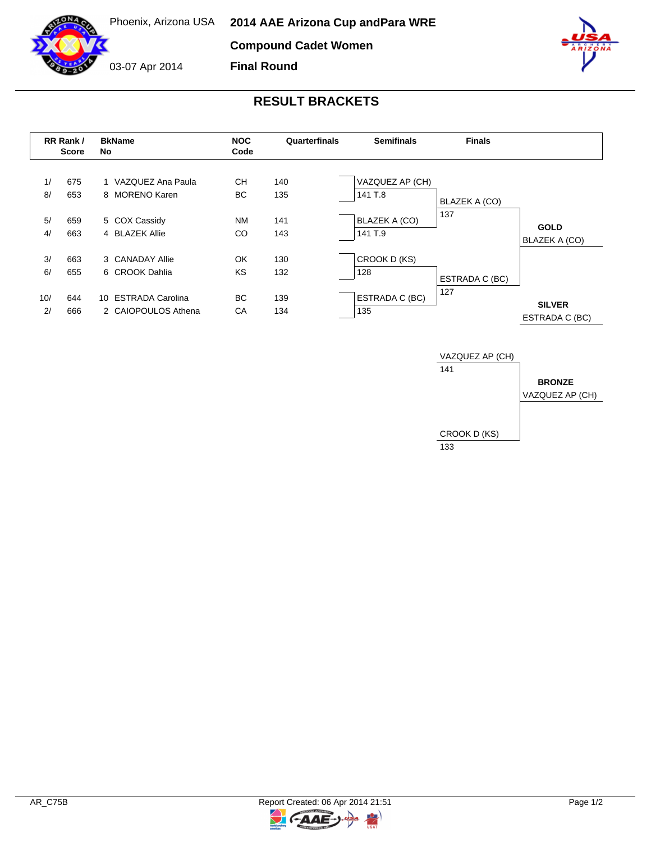**Compound Cadet Women**

**Final Round**



03-07 Apr 2014



## **RESULT BRACKETS**

|                | RR Rank /<br><b>Score</b> | <b>BkName</b><br>No                                    | <b>NOC</b><br>Code     | Quarterfinals     | <b>Semifinals</b>                                  | <b>Finals</b>        |                                 |
|----------------|---------------------------|--------------------------------------------------------|------------------------|-------------------|----------------------------------------------------|----------------------|---------------------------------|
| 1/<br>8/<br>5/ | 675<br>653<br>659         | 1 VAZQUEZ Ana Paula<br>8 MORENO Karen<br>5 COX Cassidy | CН<br>BC.<br><b>NM</b> | 140<br>135<br>141 | VAZQUEZ AP (CH)<br>141 T.8<br><b>BLAZEK A (CO)</b> | BLAZEK A (CO)<br>137 |                                 |
| 4/             | 663                       | 4 BLAZEK Allie                                         | CO                     | 143               | 141 T.9                                            |                      | <b>GOLD</b><br>BLAZEK A (CO)    |
| 3/<br>6/       | 663<br>655                | 3 CANADAY Allie<br>6 CROOK Dahlia                      | OK<br>KS               | 130<br>132        | CROOK D (KS)<br>128                                | ESTRADA C (BC)       |                                 |
| 10/<br>2/      | 644<br>666                | 10 ESTRADA Carolina<br>2 CAIOPOULOS Athena             | BC.<br>CA              | 139<br>134        | ESTRADA C (BC)<br>135                              | 127                  | <b>SILVER</b><br>ESTRADA C (BC) |